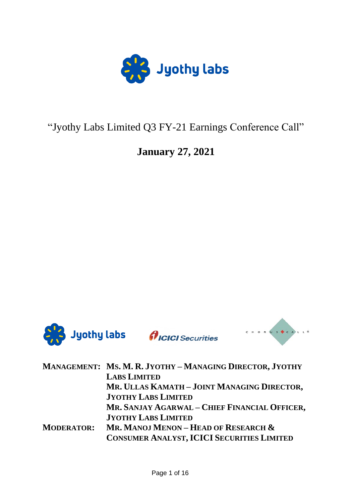

# "Jyothy Labs Limited Q3 FY-21 Earnings Conference Call"

# **January 27, 2021**



|                   | MANAGEMENT: MS. M. R. JYOTHY - MANAGING DIRECTOR, JYOTHY                                  |
|-------------------|-------------------------------------------------------------------------------------------|
|                   | <b>LABS LIMITED</b>                                                                       |
|                   | MR. ULLAS KAMATH - JOINT MANAGING DIRECTOR,                                               |
|                   | <b>JYOTHY LABS LIMITED</b>                                                                |
|                   | MR. SANJAY AGARWAL - CHIEF FINANCIAL OFFICER,                                             |
|                   | <b>JYOTHY LABS LIMITED</b>                                                                |
| <b>MODERATOR:</b> | Mr. Manoj Menon – Head of Research &<br><b>CONSUMER ANALYST, ICICI SECURITIES LIMITED</b> |
|                   |                                                                                           |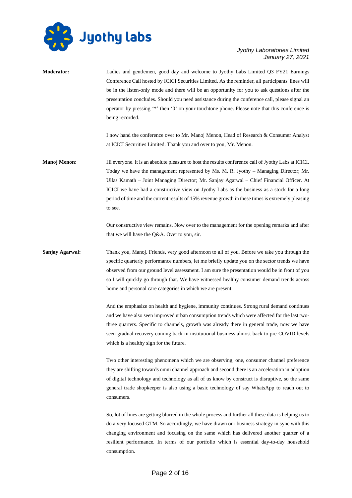

**Moderator:** Ladies and gentlemen, good day and welcome to Jyothy Labs Limited Q3 FY21 Earnings Conference Call hosted by ICICI Securities Limited. As the reminder, all participants' lines will be in the listen-only mode and there will be an opportunity for you to ask questions after the presentation concludes. Should you need assistance during the conference call, please signal an operator by pressing '\*' then '0' on your touchtone phone. Please note that this conference is being recorded. I now hand the conference over to Mr. Manoj Menon, Head of Research & Consumer Analyst at ICICI Securities Limited. Thank you and over to you, Mr. Menon. **Manoj Menon:** Hi everyone. It is an absolute pleasure to host the results conference call of Jyothy Labs at ICICI. Today we have the management represented by Ms. M. R. Jyothy – Managing Director; Mr. Ullas Kamath – Joint Managing Director; Mr. Sanjay Agarwal – Chief Financial Officer. At

ICICI we have had a constructive view on Jyothy Labs as the business as a stock for a long period of time and the current results of 15% revenue growth in these times is extremely pleasing to see.

Our constructive view remains. Now over to the management for the opening remarks and after that we will have the Q&A. Over to you, sir.

**Sanjay Agarwal:** Thank you, Manoj. Friends, very good afternoon to all of you. Before we take you through the specific quarterly performance numbers, let me briefly update you on the sector trends we have observed from our ground level assessment. I am sure the presentation would be in front of you so I will quickly go through that. We have witnessed healthy consumer demand trends across home and personal care categories in which we are present.

> And the emphasize on health and hygiene, immunity continues. Strong rural demand continues and we have also seen improved urban consumption trends which were affected for the last twothree quarters. Specific to channels, growth was already there in general trade, now we have seen gradual recovery coming back in institutional business almost back to pre-COVID levels which is a healthy sign for the future.

> Two other interesting phenomena which we are observing, one, consumer channel preference they are shifting towards omni channel approach and second there is an acceleration in adoption of digital technology and technology as all of us know by construct is disruptive, so the same general trade shopkeeper is also using a basic technology of say WhatsApp to reach out to consumers.

> So, lot of lines are getting blurred in the whole process and further all these data is helping us to do a very focused GTM. So accordingly, we have drawn our business strategy in sync with this changing environment and focusing on the same which has delivered another quarter of a resilient performance. In terms of our portfolio which is essential day-to-day household consumption.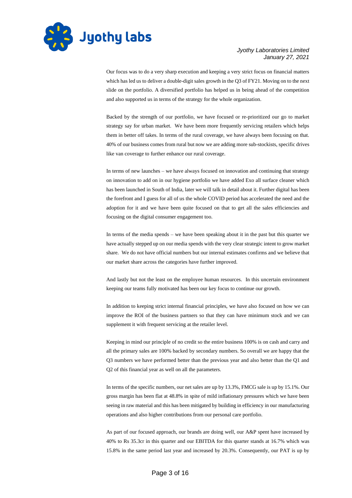

Our focus was to do a very sharp execution and keeping a very strict focus on financial matters which has led us to deliver a double-digit sales growth in the Q3 of FY21. Moving on to the next slide on the portfolio. A diversified portfolio has helped us in being ahead of the competition and also supported us in terms of the strategy for the whole organization.

Backed by the strength of our portfolio, we have focused or re-prioritized our go to market strategy say for urban market. We have been more frequently servicing retailers which helps them in better off takes. In terms of the rural coverage, we have always been focusing on that. 40% of our business comes from rural but now we are adding more sub-stockists, specific drives like van coverage to further enhance our rural coverage.

In terms of new launches – we have always focused on innovation and continuing that strategy on innovation to add on in our hygiene portfolio we have added Exo all surface cleaner which has been launched in South of India, later we will talk in detail about it. Further digital has been the forefront and I guess for all of us the whole COVID period has accelerated the need and the adoption for it and we have been quite focused on that to get all the sales efficiencies and focusing on the digital consumer engagement too.

In terms of the media spends – we have been speaking about it in the past but this quarter we have actually stepped up on our media spends with the very clear strategic intent to grow market share. We do not have official numbers but our internal estimates confirms and we believe that our market share across the categories have further improved.

And lastly but not the least on the employee human resources. In this uncertain environment keeping our teams fully motivated has been our key focus to continue our growth.

In addition to keeping strict internal financial principles, we have also focused on how we can improve the ROI of the business partners so that they can have minimum stock and we can supplement it with frequent servicing at the retailer level.

Keeping in mind our principle of no credit so the entire business 100% is on cash and carry and all the primary sales are 100% backed by secondary numbers. So overall we are happy that the Q3 numbers we have performed better than the previous year and also better than the Q1 and Q2 of this financial year as well on all the parameters.

In terms of the specific numbers, our net sales are up by 13.3%, FMCG sale is up by 15.1%. Our gross margin has been flat at 48.8% in spite of mild inflationary pressures which we have been seeing in raw material and this has been mitigated by building in efficiency in our manufacturing operations and also higher contributions from our personal care portfolio.

As part of our focused approach, our brands are doing well, our A&P spent have increased by 40% to Rs 35.3cr in this quarter and our EBITDA for this quarter stands at 16.7% which was 15.8% in the same period last year and increased by 20.3%. Consequently, our PAT is up by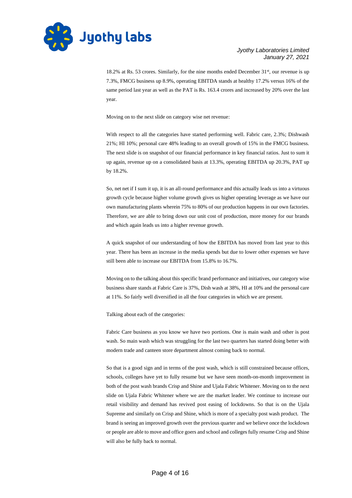

18.2% at Rs. 53 crores. Similarly, for the nine months ended December 31<sup>st</sup>, our revenue is up 7.3%, FMCG business up 8.9%, operating EBITDA stands at healthy 17.2% versus 16% of the same period last year as well as the PAT is Rs. 163.4 crores and increased by 20% over the last year.

Moving on to the next slide on category wise net revenue:

With respect to all the categories have started performing well. Fabric care, 2.3%; Dishwash 21%; HI 10%; personal care 48% leading to an overall growth of 15% in the FMCG business. The next slide is on snapshot of our financial performance in key financial ratios. Just to sum it up again, revenue up on a consolidated basis at 13.3%, operating EBITDA up 20.3%, PAT up by 18.2%.

So, net net if I sum it up, it is an all-round performance and this actually leads us into a virtuous growth cycle because higher volume growth gives us higher operating leverage as we have our own manufacturing plants wherein 75% to 80% of our production happens in our own factories. Therefore, we are able to bring down our unit cost of production, more money for our brands and which again leads us into a higher revenue growth.

A quick snapshot of our understanding of how the EBITDA has moved from last year to this year. There has been an increase in the media spends but due to lower other expenses we have still been able to increase our EBITDA from 15.8% to 16.7%.

Moving on to the talking about this specific brand performance and initiatives, our category wise business share stands at Fabric Care is 37%, Dish wash at 38%, HI at 10% and the personal care at 11%. So fairly well diversified in all the four categories in which we are present.

Talking about each of the categories:

Fabric Care business as you know we have two portions. One is main wash and other is post wash. So main wash which was struggling for the last two quarters has started doing better with modern trade and canteen store department almost coming back to normal.

So that is a good sign and in terms of the post wash, which is still constrained because offices, schools, colleges have yet to fully resume but we have seen month-on-month improvement in both of the post wash brands Crisp and Shine and Ujala Fabric Whitener. Moving on to the next slide on Ujala Fabric Whitener where we are the market leader. We continue to increase our retail visibility and demand has revived post easing of lockdowns. So that is on the Ujala Supreme and similarly on Crisp and Shine, which is more of a specialty post wash product. The brand is seeing an improved growth over the previous quarter and we believe once the lockdown or people are able to move and office goers and school and colleges fully resume Crisp and Shine will also be fully back to normal.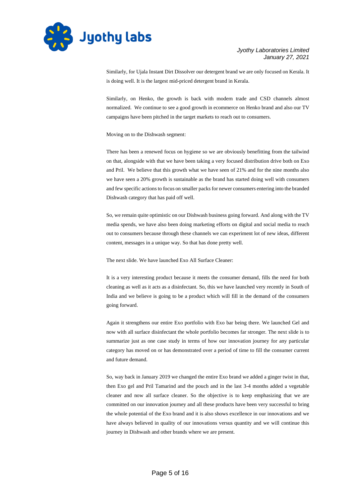

Similarly, for Ujala Instant Dirt Dissolver our detergent brand we are only focused on Kerala. It is doing well. It is the largest mid-priced detergent brand in Kerala.

Similarly, on Henko, the growth is back with modern trade and CSD channels almost normalized. We continue to see a good growth in ecommerce on Henko brand and also our TV campaigns have been pitched in the target markets to reach out to consumers.

Moving on to the Dishwash segment:

There has been a renewed focus on hygiene so we are obviously benefitting from the tailwind on that, alongside with that we have been taking a very focused distribution drive both on Exo and Pril. We believe that this growth what we have seen of 21% and for the nine months also we have seen a 20% growth is sustainable as the brand has started doing well with consumers and few specific actions to focus on smaller packs for newer consumers entering into the branded Dishwash category that has paid off well.

So, we remain quite optimistic on our Dishwash business going forward. And along with the TV media spends, we have also been doing marketing efforts on digital and social media to reach out to consumers because through these channels we can experiment lot of new ideas, different content, messages in a unique way. So that has done pretty well.

The next slide. We have launched Exo All Surface Cleaner:

It is a very interesting product because it meets the consumer demand, fills the need for both cleaning as well as it acts as a disinfectant. So, this we have launched very recently in South of India and we believe is going to be a product which will fill in the demand of the consumers going forward.

Again it strengthens our entire Exo portfolio with Exo bar being there. We launched Gel and now with all surface disinfectant the whole portfolio becomes far stronger. The next slide is to summarize just as one case study in terms of how our innovation journey for any particular category has moved on or has demonstrated over a period of time to fill the consumer current and future demand.

So, way back in January 2019 we changed the entire Exo brand we added a ginger twist in that, then Exo gel and Pril Tamarind and the pouch and in the last 3-4 months added a vegetable cleaner and now all surface cleaner. So the objective is to keep emphasizing that we are committed on our innovation journey and all these products have been very successful to bring the whole potential of the Exo brand and it is also shows excellence in our innovations and we have always believed in quality of our innovations versus quantity and we will continue this journey in Dishwash and other brands where we are present.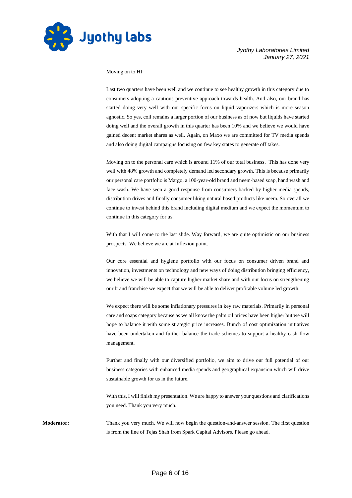

Moving on to HI:

Last two quarters have been well and we continue to see healthy growth in this category due to consumers adopting a cautious preventive approach towards health. And also, our brand has started doing very well with our specific focus on liquid vaporizers which is more season agnostic. So yes, coil remains a larger portion of our business as of now but liquids have started doing well and the overall growth in this quarter has been 10% and we believe we would have gained decent market shares as well. Again, on Maxo we are committed for TV media spends and also doing digital campaigns focusing on few key states to generate off takes.

Moving on to the personal care which is around 11% of our total business. This has done very well with 48% growth and completely demand led secondary growth. This is because primarily our personal care portfolio is Margo, a 100-year-old brand and neem-based soap, hand wash and face wash. We have seen a good response from consumers backed by higher media spends, distribution drives and finally consumer liking natural based products like neem. So overall we continue to invest behind this brand including digital medium and we expect the momentum to continue in this category for us.

With that I will come to the last slide. Way forward, we are quite optimistic on our business prospects. We believe we are at Inflexion point.

Our core essential and hygiene portfolio with our focus on consumer driven brand and innovation, investments on technology and new ways of doing distribution bringing efficiency, we believe we will be able to capture higher market share and with our focus on strengthening our brand franchise we expect that we will be able to deliver profitable volume led growth.

We expect there will be some inflationary pressures in key raw materials. Primarily in personal care and soaps category because as we all know the palm oil prices have been higher but we will hope to balance it with some strategic price increases. Bunch of cost optimization initiatives have been undertaken and further balance the trade schemes to support a healthy cash flow management.

Further and finally with our diversified portfolio, we aim to drive our full potential of our business categories with enhanced media spends and geographical expansion which will drive sustainable growth for us in the future.

With this, I will finish my presentation. We are happy to answer your questions and clarifications you need. Thank you very much.

**Moderator:** Thank you very much. We will now begin the question-and-answer session. The first question is from the line of Tejas Shah from Spark Capital Advisors. Please go ahead.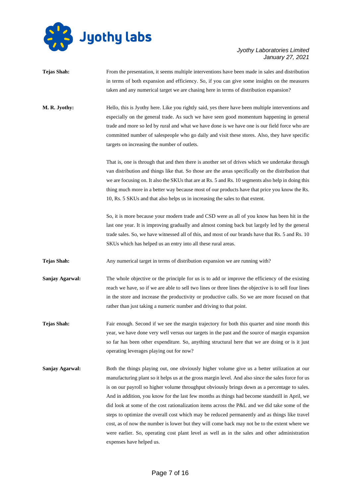

| <b>Tejas Shah:</b> | From the presentation, it seems multiple interventions have been made in sales and distribution<br>in terms of both expansion and efficiency. So, if you can give some insights on the measures<br>taken and any numerical target we are chasing here in terms of distribution expansion?                                                                                                                                                                                                                                                                                                                                                                                                                                                                                                                                              |
|--------------------|----------------------------------------------------------------------------------------------------------------------------------------------------------------------------------------------------------------------------------------------------------------------------------------------------------------------------------------------------------------------------------------------------------------------------------------------------------------------------------------------------------------------------------------------------------------------------------------------------------------------------------------------------------------------------------------------------------------------------------------------------------------------------------------------------------------------------------------|
| M. R. Jyothy:      | Hello, this is Jyothy here. Like you rightly said, yes there have been multiple interventions and<br>especially on the general trade. As such we have seen good momentum happening in general<br>trade and more so led by rural and what we have done is we have one is our field force who are<br>committed number of salespeople who go daily and visit these stores. Also, they have specific<br>targets on increasing the number of outlets.                                                                                                                                                                                                                                                                                                                                                                                       |
|                    | That is, one is through that and then there is another set of drives which we undertake through<br>van distribution and things like that. So those are the areas specifically on the distribution that<br>we are focusing on. It also the SKUs that are at Rs. 5 and Rs. 10 segments also help in doing this<br>thing much more in a better way because most of our products have that price you know the Rs.<br>10, Rs. 5 SKUs and that also helps us in increasing the sales to that extent.                                                                                                                                                                                                                                                                                                                                         |
|                    | So, it is more because your modern trade and CSD were as all of you know has been hit in the<br>last one year. It is improving gradually and almost coming back but largely led by the general<br>trade sales. So, we have witnessed all of this, and most of our brands have that Rs. 5 and Rs. 10<br>SKUs which has helped us an entry into all these rural areas.                                                                                                                                                                                                                                                                                                                                                                                                                                                                   |
| <b>Tejas Shah:</b> | Any numerical target in terms of distribution expansion we are running with?                                                                                                                                                                                                                                                                                                                                                                                                                                                                                                                                                                                                                                                                                                                                                           |
| Sanjay Agarwal:    | The whole objective or the principle for us is to add or improve the efficiency of the existing<br>reach we have, so if we are able to sell two lines or three lines the objective is to sell four lines<br>in the store and increase the productivity or productive calls. So we are more focused on that<br>rather than just taking a numeric number and driving to that point.                                                                                                                                                                                                                                                                                                                                                                                                                                                      |
| <b>Tejas Shah:</b> | Fair enough. Second if we see the margin trajectory for both this quarter and nine month this<br>year, we have done very well versus our targets in the past and the source of margin expansion<br>so far has been other expenditure. So, anything structural here that we are doing or is it just<br>operating leverages playing out for now?                                                                                                                                                                                                                                                                                                                                                                                                                                                                                         |
| Sanjay Agarwal:    | Both the things playing out, one obviously higher volume give us a better utilization at our<br>manufacturing plant so it helps us at the gross margin level. And also since the sales force for us<br>is on our payroll so higher volume throughput obviously brings down as a percentage to sales.<br>And in addition, you know for the last few months as things had become standstill in April, we<br>did look at some of the cost rationalization items across the P&L and we did take some of the<br>steps to optimize the overall cost which may be reduced permanently and as things like travel<br>cost, as of now the number is lower but they will come back may not be to the extent where we<br>were earlier. So, operating cost plant level as well as in the sales and other administration<br>expenses have helped us. |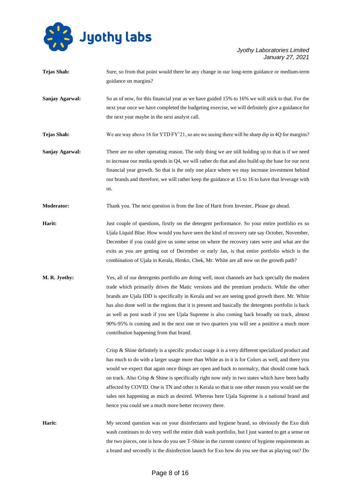

- **Tejas Shah:** Sure, so from that point would there be any change in our long-term guidance or medium-term guidance on margins?
- **Sanjay Agarwal:** So as of now, for this financial year as we have guided 15% to 16% we will stick to that. For the next year once we have completed the budgeting exercise, we will definitely give a guidance for the next year maybe in the next analyst call.

**Tejas Shah:** We are way above 16 for YTD FY'21, so are we seeing there will be sharp dip in 4Q for margins?

**Sanjay Agarwal:** There are no other operating reason. The only thing we are still holding up to that is if we need to increase our media spends in Q4, we will rather do that and also build up the base for our next financial year growth. So that is the only one place where we may increase investment behind our brands and therefore, we will rather keep the guidance at 15 to 16 to have that leverage with us.

**Moderator:** Thank you. The next question is from the line of Harit from Investec. Please go ahead.

- **Harit:** Just couple of questions, firstly on the detergent performance. So your entire portfolio ex so Ujala Liquid Blue. How would you have seen the kind of recovery rate say October, November, December if you could give us some sense on where the recovery rates were and what are the exits as you are getting out of December or early Jan, is that entire portfolio which is the combination of Ujala in Kerala, Henko, Chek, Mr. White are all now on the growth path?
- **M. R. Jyothy:** Yes, all of our detergents portfolio are doing well, most channels are back specially the modern trade which primarily drives the Matic versions and the premium products. While the other brands are Ujala IDD is specifically in Kerala and we are seeing good growth there. Mr. White has also done well in the regions that it is present and basically the detergents portfolio is back as well as post wash if you see Ujala Supreme is also coming back broadly on track, almost 90%-95% is coming and in the next one or two quarters you will see a positive a much more contribution happening from that brand.

Crisp & Shine definitely is a specific product usage it is a very different specialized product and has much to do with a larger usage more than White as in it is for Colors as well, and there you would we expect that again once things are open and back to normalcy, that should come back on track. Also Crisp  $\&$  Shine is specifically right now only in two states which have been badly affected by COVID. One is TN and other is Kerala so that is one other reason you would see the sales not happening as much as desired. Whereas here Ujala Supreme is a national brand and hence you could see a much more better recovery there.

Harit: My second question was on your disinfectants and hygiene brand, so obviously the Exo dish wash continues to do very well the entire dish wash portfolio, but I just wanted to get a sense on the two pieces, one is how do you see T-Shine in the current context of hygiene requirements as a brand and secondly is the disinfection launch for Exo how do you see that as playing out? Do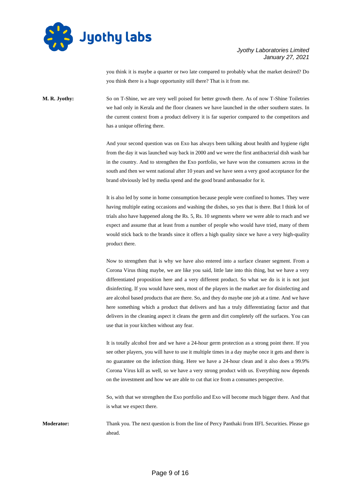

you think it is maybe a quarter or two late compared to probably what the market desired? Do you think there is a huge opportunity still there? That is it from me.

**M. R. Jyothy:** So on T-Shine, we are very well poised for better growth there. As of now T-Shine Toiletries we had only in Kerala and the floor cleaners we have launched in the other southern states. In the current context from a product delivery it is far superior compared to the competitors and has a unique offering there.

> And your second question was on Exo has always been talking about health and hygiene right from the day it was launched way back in 2000 and we were the first antibacterial dish wash bar in the country. And to strengthen the Exo portfolio, we have won the consumers across in the south and then we went national after 10 years and we have seen a very good acceptance for the brand obviously led by media spend and the good brand ambassador for it.

> It is also led by some in home consumption because people were confined to homes. They were having multiple eating occasions and washing the dishes, so yes that is there. But I think lot of trials also have happened along the Rs. 5, Rs. 10 segments where we were able to reach and we expect and assume that at least from a number of people who would have tried, many of them would stick back to the brands since it offers a high quality since we have a very high-quality product there.

> Now to strengthen that is why we have also entered into a surface cleaner segment. From a Corona Virus thing maybe, we are like you said, little late into this thing, but we have a very differentiated proposition here and a very different product. So what we do is it is not just disinfecting. If you would have seen, most of the players in the market are for disinfecting and are alcohol based products that are there. So, and they do maybe one job at a time. And we have here something which a product that delivers and has a truly differentiating factor and that delivers in the cleaning aspect it cleans the germ and dirt completely off the surfaces. You can use that in your kitchen without any fear.

> It is totally alcohol free and we have a 24-hour germ protection as a strong point there. If you see other players, you will have to use it multiple times in a day maybe once it gets and there is no guarantee on the infection thing. Here we have a 24-hour clean and it also does a 99.9% Corona Virus kill as well, so we have a very strong product with us. Everything now depends on the investment and how we are able to cut that ice from a consumes perspective.

> So, with that we strengthen the Exo portfolio and Exo will become much bigger there. And that is what we expect there.

**Moderator:** Thank you. The next question is from the line of Percy Panthaki from IIFL Securities. Please go ahead.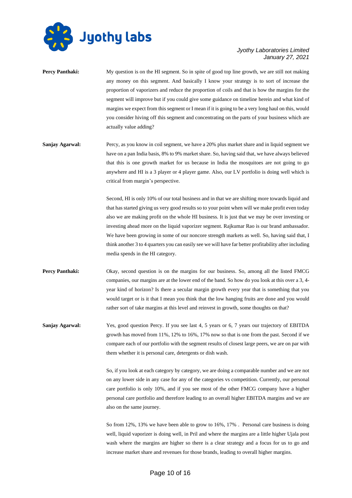

| <b>Percy Panthaki:</b> | My question is on the HI segment. So in spite of good top line growth, we are still not making     |
|------------------------|----------------------------------------------------------------------------------------------------|
|                        | any money on this segment. And basically I know your strategy is to sort of increase the           |
|                        | proportion of vaporizers and reduce the proportion of coils and that is how the margins for the    |
|                        | segment will improve but if you could give some guidance on timeline herein and what kind of       |
|                        | margins we expect from this segment or I mean if it is going to be a very long haul on this, would |
|                        | you consider hiving off this segment and concentrating on the parts of your business which are     |
|                        | actually value adding?                                                                             |
| Sanjay Agarwal:        | Percy, as you know in coil segment, we have a 20% plus market share and in liquid segment we       |
|                        | have on a pan India basis, 8% to 9% market share. So, having said that, we have always believed    |
|                        | that this is one growth market for us because in India the mosquitoes are not going to go          |
|                        | anywhere and HI is a 3 player or 4 player game. Also, our LV portfolio is doing well which is      |
|                        | critical from margin's perspective.                                                                |

Second, HI is only 10% of our total business and in that we are shifting more towards liquid and that has started giving us very good results so to your point when will we make profit even today also we are making profit on the whole HI business. It is just that we may be over investing or investing ahead more on the liquid vaporizer segment. Rajkumar Rao is our brand ambassador. We have been growing in some of our noncore strength markets as well. So, having said that, I think another 3 to 4 quarters you can easily see we will have far better profitability after including media spends in the HI category.

**Percy Panthaki:** Okay, second question is on the margins for our business. So, among all the listed FMCG companies, our margins are at the lower end of the band. So how do you look at this over a 3, 4 year kind of horizon? Is there a secular margin growth every year that is something that you would target or is it that I mean you think that the low hanging fruits are done and you would rather sort of take margins at this level and reinvest in growth, some thoughts on that?

**Sanjay Agarwal:** Yes, good question Percy. If you see last 4, 5 years or 6, 7 years our trajectory of EBITDA growth has moved from 11%, 12% to 16%, 17% now so that is one from the past. Second if we compare each of our portfolio with the segment results of closest large peers, we are on par with them whether it is personal care, detergents or dish wash.

> So, if you look at each category by category, we are doing a comparable number and we are not on any lower side in any case for any of the categories vs competition. Currently, our personal care portfolio is only 10%, and if you see most of the other FMCG company have a higher personal care portfolio and therefore leading to an overall higher EBITDA margins and we are also on the same journey.

> So from 12%, 13% we have been able to grow to 16%, 17% . Personal care business is doing well, liquid vaporizer is doing well, in Pril and where the margins are a little higher Ujala post wash where the margins are higher so there is a clear strategy and a focus for us to go and increase market share and revenues for those brands, leading to overall higher margins.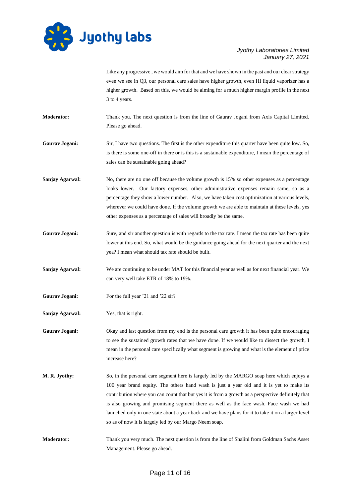

Like any progressive , we would aim for that and we have shown in the past and our clear strategy even we see in Q3, our personal care sales have higher growth, even HI liquid vaporizer has a higher growth. Based on this, we would be aiming for a much higher margin profile in the next 3 to 4 years.

**Moderator:** Thank you. The next question is from the line of Gaurav Jogani from Axis Capital Limited. Please go ahead.

**Gaurav Jogani:** Sir, I have two questions. The first is the other expenditure this quarter have been quite low. So, is there is some one-off in there or is this is a sustainable expenditure, I mean the percentage of sales can be sustainable going ahead?

- **Sanjay Agarwal:** No, there are no one off because the volume growth is 15% so other expenses as a percentage looks lower. Our factory expenses, other administrative expenses remain same, so as a percentage they show a lower number. Also, we have taken cost optimization at various levels, wherever we could have done. If the volume growth we are able to maintain at these levels, yes other expenses as a percentage of sales will broadly be the same.
- Gaurav Jogani: Sure, and sir another question is with regards to the tax rate. I mean the tax rate has been quite lower at this end. So, what would be the guidance going ahead for the next quarter and the next yea? I mean what should tax rate should be built.
- **Sanjay Agarwal:** We are continuing to be under MAT for this financial year as well as for next financial year. We can very well take ETR of 18% to 19%.
- **Gaurav Jogani:** For the full year '21 and '22 sir?
- **Sanjay Agarwal:** Yes, that is right.

Gaurav Jogani: Okay and last question from my end is the personal care growth it has been quite encouraging to see the sustained growth rates that we have done. If we would like to dissect the growth, I mean in the personal care specifically what segment is growing and what is the element of price increase here?

- **M. R. Jyothy:** So, in the personal care segment here is largely led by the MARGO soap here which enjoys a 100 year brand equity. The others hand wash is just a year old and it is yet to make its contribution where you can count that but yes it is from a growth as a perspective definitely that is also growing and promising segment there as well as the face wash. Face wash we had launched only in one state about a year back and we have plans for it to take it on a larger level so as of now it is largely led by our Margo Neem soap.
- **Moderator:** Thank you very much. The next question is from the line of Shalini from Goldman Sachs Asset Management. Please go ahead.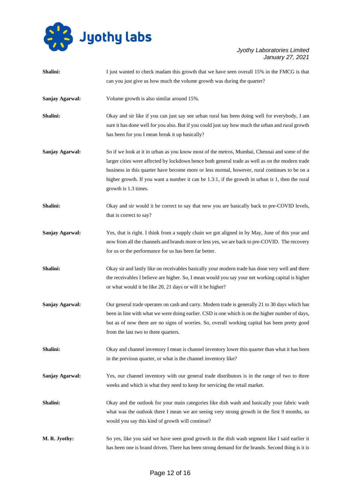

| Shalini:        | I just wanted to check madam this growth that we have seen overall 15% in the FMCG is that        |
|-----------------|---------------------------------------------------------------------------------------------------|
|                 | can you just give us how much the volume growth was during the quarter?                           |
| Sanjay Agarwal: | Volume growth is also similar around 15%.                                                         |
| Shalini:        | Okay and sir like if you can just say see urban rural has been doing well for everybody, I am     |
|                 | sure it has done well for you also. But if you could just say how much the urban and rural growth |
|                 | has been for you I mean break it up basically?                                                    |
| Sanjay Agarwal: | So if we look at it in urban as you know most of the metros, Mumbai, Chennai and some of the      |
|                 | larger cities were affected by lockdown hence both general trade as well as on the modern trade   |
|                 | business in this quarter have become more or less normal, however, rural continues to be on a     |
|                 | higher growth. If you want a number it can be 1.3:1, if the growth in urban is 1, then the rural  |
|                 | growth is 1.3 times.                                                                              |
| Shalini:        | Okay and sir would it be correct to say that now you are basically back to pre-COVID levels,      |
|                 | that is correct to say?                                                                           |
| Sanjay Agarwal: | Yes, that is right. I think from a supply chain we got aligned in by May, June of this year and   |
|                 | now from all the channels and brands more or less yes, we are back to pre-COVID. The recovery     |
|                 | for us or the performance for us has been far better.                                             |
| Shalini:        | Okay sir and lastly like on receivables basically your modern trade has done very well and there  |
|                 | the receivables I believe are higher. So, I mean would you say your net working capital is higher |
|                 | or what would it be like 20, 21 days or will it be higher?                                        |
| Sanjay Agarwal: | Our general trade operates on cash and carry. Modern trade is generally 21 to 30 days which has   |
|                 | been in line with what we were doing earlier. CSD is one which is on the higher number of days,   |
|                 | but as of now there are no signs of worries. So, overall working capital has been pretty good     |
|                 | from the last two to three quarters.                                                              |
| Shalini:        | Okay and channel inventory I mean is channel inventory lower this quarter than what it has been   |
|                 | in the previous quarter, or what is the channel inventory like?                                   |
| Sanjay Agarwal: | Yes, our channel inventory with our general trade distributors is in the range of two to three    |
|                 | weeks and which is what they need to keep for servicing the retail market.                        |
| Shalini:        | Okay and the outlook for your main categories like dish wash and basically your fabric wash       |
|                 | what was the outlook there I mean we are seeing very strong growth in the first 9 months, so      |
|                 | would you say this kind of growth will continue?                                                  |
| M. R. Jyothy:   | So yes, like you said we have seen good growth in the dish wash segment like I said earlier it    |
|                 | has been one is brand driven. There has been strong demand for the brands. Second thing is it is  |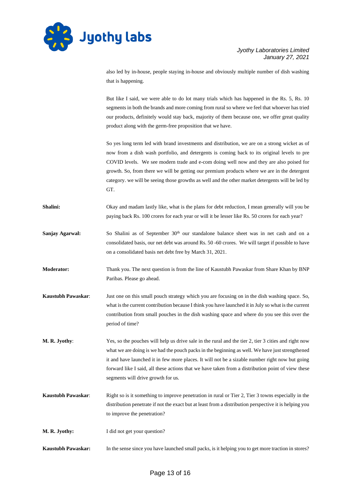

also led by in-house, people staying in-house and obviously multiple number of dish washing that is happening.

But like I said, we were able to do lot many trials which has happened in the Rs. 5, Rs. 10 segments in both the brands and more coming from rural so where we feel that whoever has tried our products, definitely would stay back, majority of them because one, we offer great quality product along with the germ-free proposition that we have.

So yes long term led with brand investments and distribution, we are on a strong wicket as of now from a dish wash portfolio, and detergents is coming back to its original levels to pre COVID levels. We see modern trade and e-com doing well now and they are also poised for growth. So, from there we will be getting our premium products where we are in the detergent category. we will be seeing those growths as well and the other market detergents will be led by GT.

- **Shalini:** Okay and madam lastly like, what is the plans for debt reduction, I mean generally will you be paying back Rs. 100 crores for each year or will it be lesser like Rs. 50 crores for each year?
- **Sanjay Agarwal:** So Shalini as of September 30<sup>th</sup> our standalone balance sheet was in net cash and on a consolidated basis, our net debt was around Rs. 50 -60 crores. We will target if possible to have on a consolidated basis net debt free by March 31, 2021.
- **Moderator:** Thank you. The next question is from the line of Kaustubh Pawaskar from Share Khan by BNP Paribas. Please go ahead.
- **Kaustubh Pawaskar**: Just one on this small pouch strategy which you are focusing on in the dish washing space. So, what is the current contribution because I think you have launched it in July so what is the current contribution from small pouches in the dish washing space and where do you see this over the period of time?
- **M. R. Jyothy:** Yes, so the pouches will help us drive sale in the rural and the tier 2, tier 3 cities and right now what we are doing is we had the pouch packs in the beginning as well. We have just strengthened it and have launched it in few more places. It will not be a sizable number right now but going forward like I said, all these actions that we have taken from a distribution point of view these segments will drive growth for us.
- **Kaustubh Pawaskar:** Right so is it something to improve penetration in rural or Tier 2, Tier 3 towns especially in the distribution penetrate if not the exact but at least from a distribution perspective it is helping you to improve the penetration?
- **M. R. Jyothy:** I did not get your question?
- **Kaustubh Pawaskar:** In the sense since you have launched small packs, is it helping you to get more traction in stores?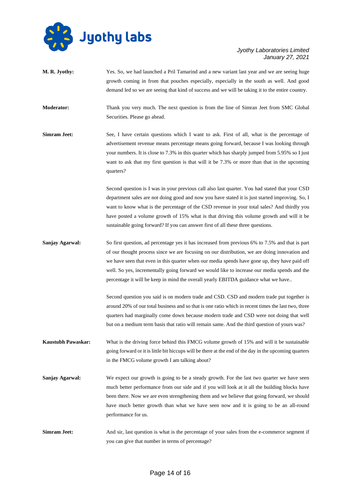

| M. R. Jyothy:             | Yes. So, we had launched a Pril Tamarind and a new variant last year and we are seeing huge<br>growth coming in from that pouches especially, especially in the south as well. And good<br>demand led so we are seeing that kind of success and we will be taking it to the entire country.                                                                                                                                                                                             |
|---------------------------|-----------------------------------------------------------------------------------------------------------------------------------------------------------------------------------------------------------------------------------------------------------------------------------------------------------------------------------------------------------------------------------------------------------------------------------------------------------------------------------------|
| <b>Moderator:</b>         | Thank you very much. The next question is from the line of Simran Jeet from SMC Global<br>Securities. Please go ahead.                                                                                                                                                                                                                                                                                                                                                                  |
| <b>Simram Jeet:</b>       | See, I have certain questions which I want to ask. First of all, what is the percentage of<br>advertisement revenue means percentage means going forward, because I was looking through<br>your numbers. It is close to 7.3% in this quarter which has sharply jumped from 5.95% so I just<br>want to ask that my first question is that will it be 7.3% or more than that in the upcoming<br>quarters?                                                                                 |
|                           | Second question is I was in your previous call also last quarter. You had stated that your CSD<br>department sales are not doing good and now you have stated it is just started improving. So, I<br>want to know what is the percentage of the CSD revenue in your total sales? And thirdly you<br>have posted a volume growth of 15% what is that driving this volume growth and will it be<br>sustainable going forward? If you can answer first of all these three questions.       |
| Sanjay Agarwal:           | So first question, ad percentage yes it has increased from previous 6% to 7.5% and that is part<br>of our thought process since we are focusing on our distribution, we are doing innovation and<br>we have seen that even in this quarter when our media spends have gone up, they have paid off<br>well. So yes, incrementally going forward we would like to increase our media spends and the<br>percentage it will be keep in mind the overall yearly EBITDA guidance what we have |
|                           | Second question you said is on modern trade and CSD. CSD and modern trade put together is<br>around 20% of our total business and so that is one ratio which in recent times the last two, three<br>quarters had marginally come down because modern trade and CSD were not doing that well<br>but on a medium term basis that ratio will remain same. And the third question of yours was?                                                                                             |
| <b>Kaustubh Pawaskar:</b> | What is the driving force behind this FMCG volume growth of 15% and will it be sustainable<br>going forward or it is little bit hiccups will be there at the end of the day in the upcoming quarters<br>in the FMCG volume growth I am talking about?                                                                                                                                                                                                                                   |
| Sanjay Agarwal:           | We expect our growth is going to be a steady growth. For the last two quarter we have seen<br>much better performance from our side and if you will look at it all the building blocks have<br>been there. Now we are even strengthening them and we believe that going forward, we should<br>have much better growth than what we have seen now and it is going to be an all-round<br>performance for us.                                                                              |
| <b>Simram Jeet:</b>       | And sir, last question is what is the percentage of your sales from the e-commerce segment if<br>you can give that number in terms of percentage?                                                                                                                                                                                                                                                                                                                                       |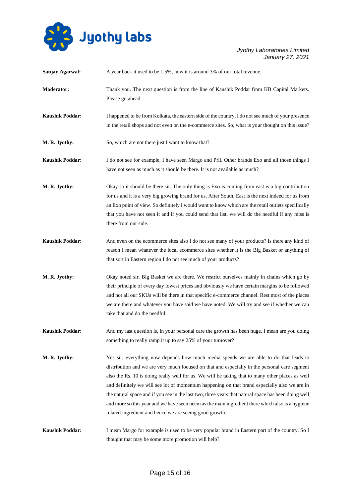

| Sanjay Agarwal:        | A year back it used to be 1.5%, now it is around 3% of our total revenue.                                                                                                                                                                                                                                                                                                                                                                                                                                                                                                                                                                                         |
|------------------------|-------------------------------------------------------------------------------------------------------------------------------------------------------------------------------------------------------------------------------------------------------------------------------------------------------------------------------------------------------------------------------------------------------------------------------------------------------------------------------------------------------------------------------------------------------------------------------------------------------------------------------------------------------------------|
| <b>Moderator:</b>      | Thank you. The next question is from the line of Kaushik Poddar from KB Capital Markets.<br>Please go ahead.                                                                                                                                                                                                                                                                                                                                                                                                                                                                                                                                                      |
| <b>Kaushik Poddar:</b> | I happened to be from Kolkata, the eastern side of the country. I do not see much of your presence<br>in the retail shops and not even on the e-commerce sites. So, what is your thought on this issue?                                                                                                                                                                                                                                                                                                                                                                                                                                                           |
| M. R. Jyothy:          | So, which are not there just I want to know that?                                                                                                                                                                                                                                                                                                                                                                                                                                                                                                                                                                                                                 |
| <b>Kaushik Poddar:</b> | I do not see for example, I have seen Margo and Pril. Other brands Exo and all those things I<br>have not seen as much as it should be there. It is not available as much?                                                                                                                                                                                                                                                                                                                                                                                                                                                                                        |
| M. R. Jyothy:          | Okay so it should be there sir. The only thing is Exo is coming from east is a big contribution<br>for us and it is a very big growing brand for us. After South, East is the next indeed for us from<br>an Exo point of view. So definitely I would want to know which are the retail outlets specifically<br>that you have not seen it and if you could send that list, we will do the needful if any miss is<br>there from our side.                                                                                                                                                                                                                           |
| <b>Kaushik Poddar:</b> | And even on the ecommerce sites also I do not see many of your products? Is there any kind of<br>reason I mean whatever the local ecommerce sites whether it is the Big Basket or anything of<br>that sort in Eastern region I do not see much of your products?                                                                                                                                                                                                                                                                                                                                                                                                  |
| M. R. Jyothy:          | Okay noted sir. Big Basket we are there. We restrict ourselves mainly in chains which go by<br>their principle of every day lowest prices and obviously we have certain margins to be followed<br>and not all our SKUs will be there in that specific e-commerce channel. Rest most of the places<br>we are there and whatever you have said we have noted. We will try and see if whether we can<br>take that and do the needful.                                                                                                                                                                                                                                |
| <b>Kaushik Poddar:</b> | And my last question is, in your personal care the growth has been huge. I mean are you doing<br>something to really ramp it up to say 25% of your turnover?                                                                                                                                                                                                                                                                                                                                                                                                                                                                                                      |
| M. R. Jyothy:          | Yes sir, everything now depends how much media spends we are able to do that leads to<br>distribution and we are very much focused on that and especially in the personal care segment<br>also the Rs. 10 is doing really well for us. We will be taking that to many other places as well<br>and definitely we will see lot of momentum happening on that brand especially also we are in<br>the natural space and if you see in the last two, three years that natural space has been doing well<br>and more so this year and we have seen neem as the main ingredient there which also is a hygiene<br>related ingredient and hence we are seeing good growth. |
| <b>Kaushik Poddar:</b> | I mean Margo for example is used to be very popular brand in Eastern part of the country. So I<br>thought that may be some more promotion will help?                                                                                                                                                                                                                                                                                                                                                                                                                                                                                                              |